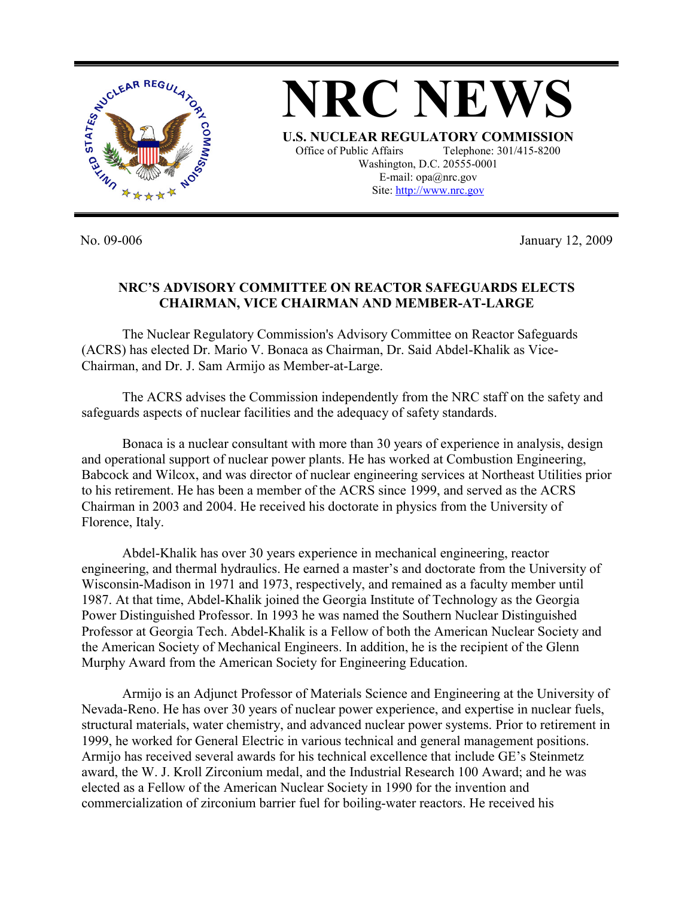

**NRC NEWS U.S. NUCLEAR REGULATORY COMMISSION** Office of Public Affairs Telephone: 301/415-8200 Washington, D.C. 20555-0001 E-mail: opa@nrc.gov Site: http://www.nrc.gov

No. 09-006 January 12, 2009

## **NRC'S ADVISORY COMMITTEE ON REACTOR SAFEGUARDS ELECTS CHAIRMAN, VICE CHAIRMAN AND MEMBER-AT-LARGE**

The Nuclear Regulatory Commission's Advisory Committee on Reactor Safeguards (ACRS) has elected Dr. Mario V. Bonaca as Chairman, Dr. Said Abdel-Khalik as Vice-Chairman, and Dr. J. Sam Armijo as Member-at-Large.

 The ACRS advises the Commission independently from the NRC staff on the safety and safeguards aspects of nuclear facilities and the adequacy of safety standards.

 Bonaca is a nuclear consultant with more than 30 years of experience in analysis, design and operational support of nuclear power plants. He has worked at Combustion Engineering, Babcock and Wilcox, and was director of nuclear engineering services at Northeast Utilities prior to his retirement. He has been a member of the ACRS since 1999, and served as the ACRS Chairman in 2003 and 2004. He received his doctorate in physics from the University of Florence, Italy.

 Abdel-Khalik has over 30 years experience in mechanical engineering, reactor engineering, and thermal hydraulics. He earned a master's and doctorate from the University of Wisconsin-Madison in 1971 and 1973, respectively, and remained as a faculty member until 1987. At that time, Abdel-Khalik joined the Georgia Institute of Technology as the Georgia Power Distinguished Professor. In 1993 he was named the Southern Nuclear Distinguished Professor at Georgia Tech. Abdel-Khalik is a Fellow of both the American Nuclear Society and the American Society of Mechanical Engineers. In addition, he is the recipient of the Glenn Murphy Award from the American Society for Engineering Education.

 Armijo is an Adjunct Professor of Materials Science and Engineering at the University of Nevada-Reno. He has over 30 years of nuclear power experience, and expertise in nuclear fuels, structural materials, water chemistry, and advanced nuclear power systems. Prior to retirement in 1999, he worked for General Electric in various technical and general management positions. Armijo has received several awards for his technical excellence that include GE's Steinmetz award, the W. J. Kroll Zirconium medal, and the Industrial Research 100 Award; and he was elected as a Fellow of the American Nuclear Society in 1990 for the invention and commercialization of zirconium barrier fuel for boiling-water reactors. He received his